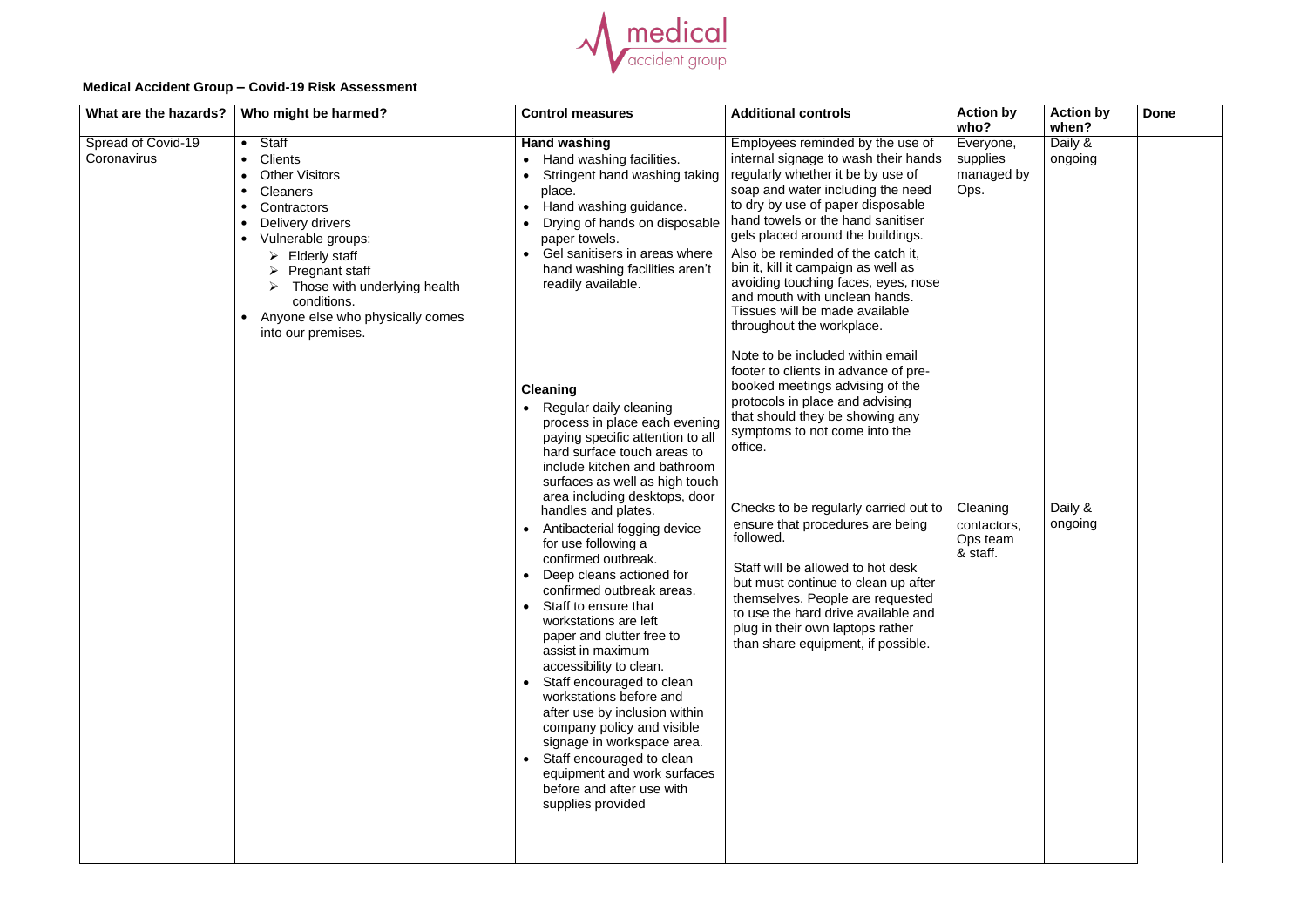

## **Medical Accident Group – Covid-19 Risk Assessment**

| What are the hazards?             | Who might be harmed?                                                                                                                                                                                                                                                                   | <b>Control measures</b>                                                                                                                                                                                                                                                                                                                                                                                                                                                                                                                                                                                                                                                                                                                                                                                         | <b>Additional controls</b>                                                                                                                                                                                                                                                                                                                                                                                                                                                                                                                               | <b>Action by</b>                                    | <b>Action by</b>            | <b>Done</b> |
|-----------------------------------|----------------------------------------------------------------------------------------------------------------------------------------------------------------------------------------------------------------------------------------------------------------------------------------|-----------------------------------------------------------------------------------------------------------------------------------------------------------------------------------------------------------------------------------------------------------------------------------------------------------------------------------------------------------------------------------------------------------------------------------------------------------------------------------------------------------------------------------------------------------------------------------------------------------------------------------------------------------------------------------------------------------------------------------------------------------------------------------------------------------------|----------------------------------------------------------------------------------------------------------------------------------------------------------------------------------------------------------------------------------------------------------------------------------------------------------------------------------------------------------------------------------------------------------------------------------------------------------------------------------------------------------------------------------------------------------|-----------------------------------------------------|-----------------------------|-------------|
| Spread of Covid-19<br>Coronavirus | Staff<br><b>Clients</b><br><b>Other Visitors</b><br><b>Cleaners</b><br>Contractors<br>Delivery drivers<br>Vulnerable groups:<br><b>Elderly staff</b><br><b>Pregnant staff</b><br>Those with underlying health<br>conditions.<br>Anyone else who physically comes<br>into our premises. | <b>Hand washing</b><br>Hand washing facilities.<br>Stringent hand washing taking<br>place.<br>Hand washing guidance.<br>Drying of hands on disposable<br>paper towels.<br>Gel sanitisers in areas where<br>hand washing facilities aren't<br>readily available.                                                                                                                                                                                                                                                                                                                                                                                                                                                                                                                                                 | Employees reminded by the use of<br>internal signage to wash their hands<br>regularly whether it be by use of<br>soap and water including the need<br>to dry by use of paper disposable<br>hand towels or the hand sanitiser<br>gels placed around the buildings.<br>Also be reminded of the catch it,<br>bin it, kill it campaign as well as<br>avoiding touching faces, eyes, nose<br>and mouth with unclean hands.<br>Tissues will be made available<br>throughout the workplace.                                                                     | who?<br>Everyone,<br>supplies<br>managed by<br>Ops. | when?<br>Daily &<br>ongoing |             |
|                                   |                                                                                                                                                                                                                                                                                        | <b>Cleaning</b><br>Regular daily cleaning<br>process in place each evening<br>paying specific attention to all<br>hard surface touch areas to<br>include kitchen and bathroom<br>surfaces as well as high touch<br>area including desktops, door<br>handles and plates.<br>Antibacterial fogging device<br>for use following a<br>confirmed outbreak.<br>Deep cleans actioned for<br>confirmed outbreak areas.<br>Staff to ensure that<br>workstations are left<br>paper and clutter free to<br>assist in maximum<br>accessibility to clean.<br>Staff encouraged to clean<br>workstations before and<br>after use by inclusion within<br>company policy and visible<br>signage in workspace area.<br>Staff encouraged to clean<br>equipment and work surfaces<br>before and after use with<br>supplies provided | Note to be included within email<br>footer to clients in advance of pre-<br>booked meetings advising of the<br>protocols in place and advising<br>that should they be showing any<br>symptoms to not come into the<br>office.<br>Checks to be regularly carried out to<br>ensure that procedures are being<br>followed.<br>Staff will be allowed to hot desk<br>but must continue to clean up after<br>themselves. People are requested<br>to use the hard drive available and<br>plug in their own laptops rather<br>than share equipment, if possible. | Cleaning<br>contactors,<br>Ops team<br>& staff.     | Daily &<br>ongoing          |             |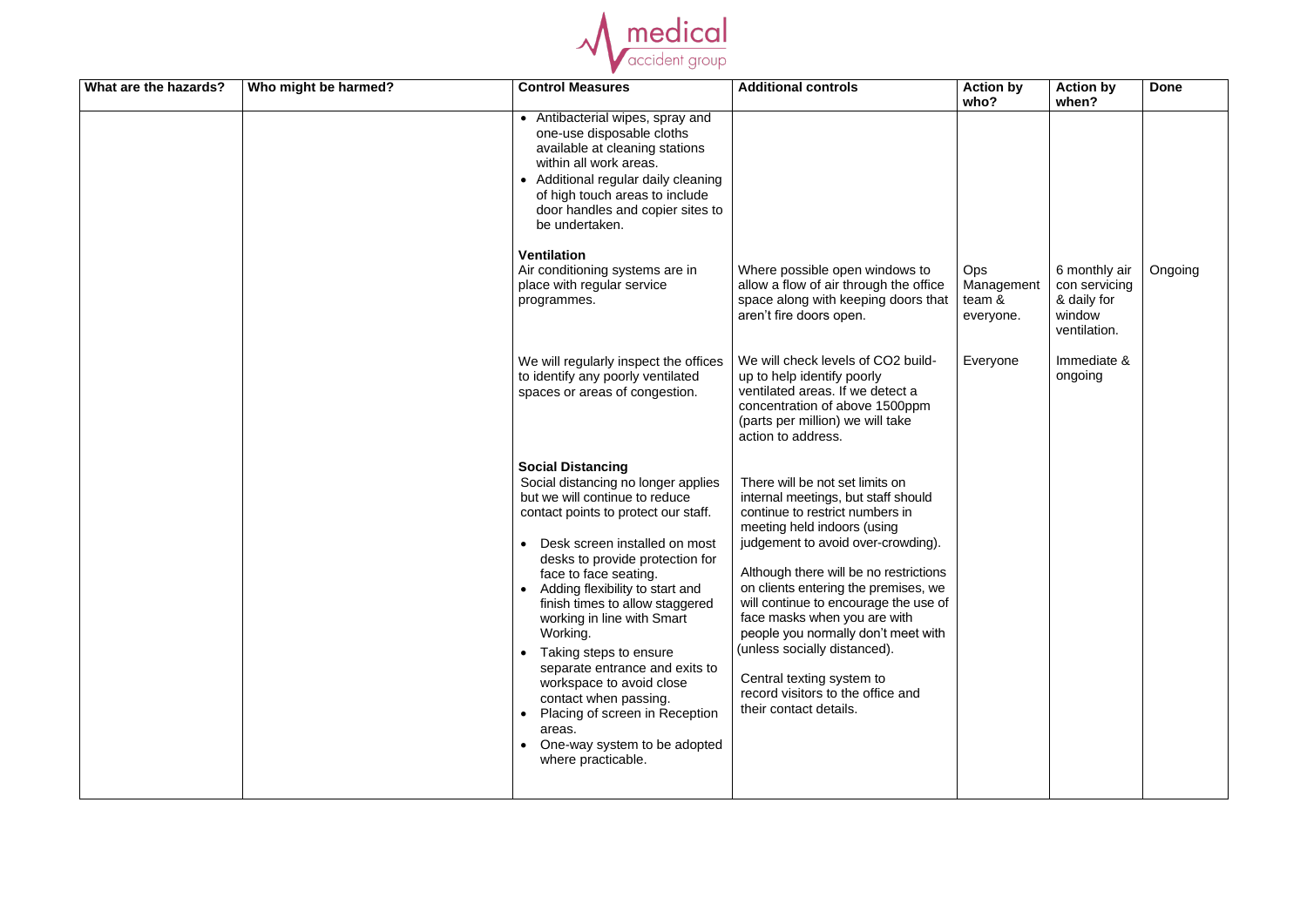

| What are the hazards? | Who might be harmed? | <b>Control Measures</b>                                                                                                                                                                                                                                                                                                                                                                                                                                                                                                                                                   | <b>Additional controls</b>                                                                                                                                                                                                                                                                                                                                                                                                                                                                                   | <b>Action by</b><br>who?                        | <b>Action by</b><br>when?                                               | <b>Done</b> |
|-----------------------|----------------------|---------------------------------------------------------------------------------------------------------------------------------------------------------------------------------------------------------------------------------------------------------------------------------------------------------------------------------------------------------------------------------------------------------------------------------------------------------------------------------------------------------------------------------------------------------------------------|--------------------------------------------------------------------------------------------------------------------------------------------------------------------------------------------------------------------------------------------------------------------------------------------------------------------------------------------------------------------------------------------------------------------------------------------------------------------------------------------------------------|-------------------------------------------------|-------------------------------------------------------------------------|-------------|
|                       |                      | • Antibacterial wipes, spray and<br>one-use disposable cloths<br>available at cleaning stations<br>within all work areas.<br>• Additional regular daily cleaning<br>of high touch areas to include<br>door handles and copier sites to<br>be undertaken.                                                                                                                                                                                                                                                                                                                  |                                                                                                                                                                                                                                                                                                                                                                                                                                                                                                              |                                                 |                                                                         |             |
|                       |                      | <b>Ventilation</b><br>Air conditioning systems are in<br>place with regular service<br>programmes.                                                                                                                                                                                                                                                                                                                                                                                                                                                                        | Where possible open windows to<br>allow a flow of air through the office<br>space along with keeping doors that<br>aren't fire doors open.                                                                                                                                                                                                                                                                                                                                                                   | <b>Ops</b><br>Management<br>team &<br>everyone. | 6 monthly air<br>con servicing<br>& daily for<br>window<br>ventilation. | Ongoing     |
|                       |                      | We will regularly inspect the offices<br>to identify any poorly ventilated<br>spaces or areas of congestion.                                                                                                                                                                                                                                                                                                                                                                                                                                                              | We will check levels of CO2 build-<br>up to help identify poorly<br>ventilated areas. If we detect a<br>concentration of above 1500ppm<br>(parts per million) we will take<br>action to address.                                                                                                                                                                                                                                                                                                             | Everyone                                        | Immediate &<br>ongoing                                                  |             |
|                       |                      | <b>Social Distancing</b><br>Social distancing no longer applies<br>but we will continue to reduce<br>contact points to protect our staff.<br>Desk screen installed on most<br>desks to provide protection for<br>face to face seating.<br>Adding flexibility to start and<br>finish times to allow staggered<br>working in line with Smart<br>Working.<br>Taking steps to ensure<br>separate entrance and exits to<br>workspace to avoid close<br>contact when passing.<br>Placing of screen in Reception<br>areas.<br>One-way system to be adopted<br>where practicable. | There will be not set limits on<br>internal meetings, but staff should<br>continue to restrict numbers in<br>meeting held indoors (using<br>judgement to avoid over-crowding).<br>Although there will be no restrictions<br>on clients entering the premises, we<br>will continue to encourage the use of<br>face masks when you are with<br>people you normally don't meet with<br>(unless socially distanced).<br>Central texting system to<br>record visitors to the office and<br>their contact details. |                                                 |                                                                         |             |